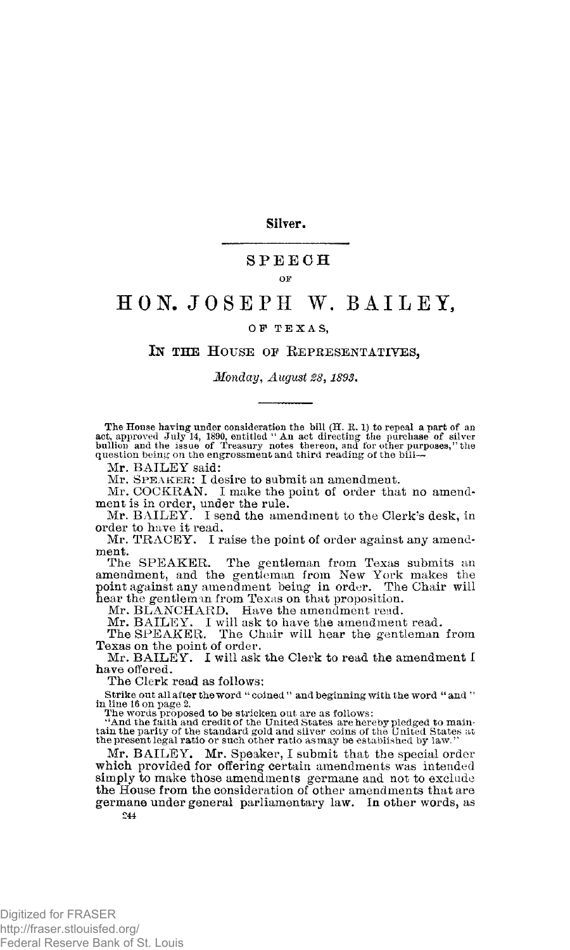**Silver.** 

### **SPEEC H**

#### **OF**

# HON. JOSEPH W. BAILEY.

### OF TEXAS,

## IN THE HOUSE OF REPRESENTATIVES,

*Monday, August 28,* 

The House having under consideration the bill (H. R. 1) to repeal a part of an act, approved July 14, 1890, entitled "An act directing the purchase of silver bullion and the issue of Teasury notes thereon, and for other pu

Mr. BAILEY said:

Mr. **SPEAKER**: I desire to submit an amendment.

Mr. COCKRAN. I make the point of order that no amendment is in order, under the rule.

Mr. BAILEY. I send the amendment to the Clerk's desk, in order to have it read.

Mr. TRACEY. I raise the point of order against any amendment.

The SPEAKER. The gentleman from Texas submits an amendment, and the gentleman from New York makes the point against any amendment being in order. The Chair will hear the gentleman from Texas on that proposition.

Mr. BLANCHARD. Have the amendment read.

Mr. BAILEY. I will ask to have the amendment read.<br>The SPEAKER. The Chair will hear the gentleman The Chair will hear the gentleman from Texas on the point of order.

Mr. BAILEY. I will ask the Clerk to read the amendment I have offered.

The Clerk read as follows:

Strike out all after the word " coined " and beginning with the word " and "

in line 16 on page 2.<br>The words proposed to be stricken out are as follows:<br>"And the faith and credit of the United States are hereby pledged to main-<br>tain the parity of the standard gold and silver-coins of the United Sta the present legal ratio or such other ratio as may be established by law."

Mr. BAILEY. Mr. Speaker, I submit that the special order which provided for offering certain amendments was intended simply to make those amendments germane and not to exclude the House from the consideration of other amendments that are germane under general parliamentary law. In other words, as 244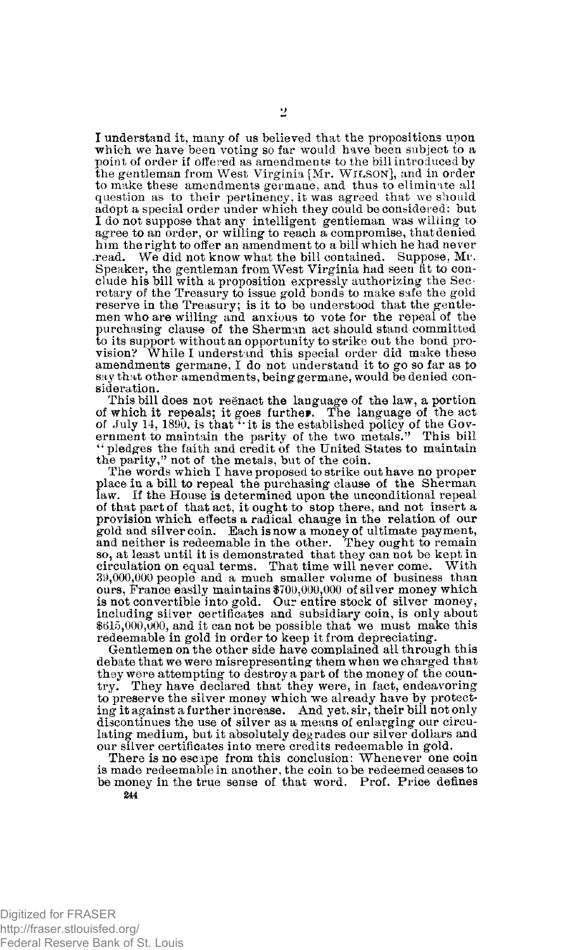I understand it, many of us believed that the propositions upon which we have been voting so far would have been subject to a point of order if offered as amendments to the bill introduced by the gentleman from West Virginia [Mr. **WILSON**], and in order to make these amendments germane, and thus to eliminate all question as to their pertinency, it was agreed that we should adopt a special order under which they could be considered: but I do not suppose that any intelligent gentleman was willing to agree to an order, or willing to reach a compromise, that denied him the right to offer an amendment to a bill which he had never .read. We did not know what the bill contained. Suppose, Mr. Speaker, the gentleman from West Virginia had seen fit to conclude his bill with a proposition expressly authorizing the Secretary of the Treasury to issue gold bonds to make safe the gold reserve in the Treasury; is it to be understood that the gentlemen who are willing and anxious to vote for the repeal of the purchasing clause of the Sherman act should stand committed to its support without an opportunity to strike out the bond provision? While I understand this special order did make these amendments germane, I do not understand it to go so far as to say that other amendments, being germane, would be denied consideration.

This bill does not reenact the language of the law, a portion of which it repeals; it goes further. The language of the act<br>of July 14, 1890, is that "it is the established policy of the Gov-<br>ernment to maintain the parity of the two metals." This bill<br>"pledges the faith and credit the parity," not of the metals, but of the coin.

The words which I have proposed to strike out have no proper place in a bill to repeal the purchasing clause of the Sherman law. If the House is determined upon the unconditional repeal of that part of that act, it ought to stop there, and not insert a provision which effects a radical change in the relation of our gold and silver coin. Each is now a money of ultimate payment, and neither is redeemable in the other. They ought to remain so, at least until it is demonstrated that they can not be kept in circulation on equal terms. That time will never come. With 39,000,000 people and a much smaller volume of business than ours, France easily maintains \$700,000,000 of silver money which is not convertible into gold. Our entire stock of silver money, including silver certificates and subsidiary coin, is only about \$615,000,000, and it cannot be possible that we must make this redeemable in gold in order to keep it from depreciating.

Gentlemen on the other side have complained all through this debate that we were misrepresenting them when we charged that they were attempting to destroy a part of the money of the country. They have declared that they were, in fact, endeavoring to preserve the silver money which we already have by protecting it against a further increase. And yet, sir, their bill not only discontinues the use of silver as a means of enlarging our circulating medium, but it absolutely degrades our silver dollars and our silver certificates into mere credits redeemable in gold.

There is no escape from this conclusion: Whenever one coin is made redeemable in another, the coin to be redeemed ceases to be money in the true sense of that word. Prof. Price defines **244** 

Digitized for FRASER http://fraser.stlouisfed.org/ Federal Reserve Bank of St. Louis